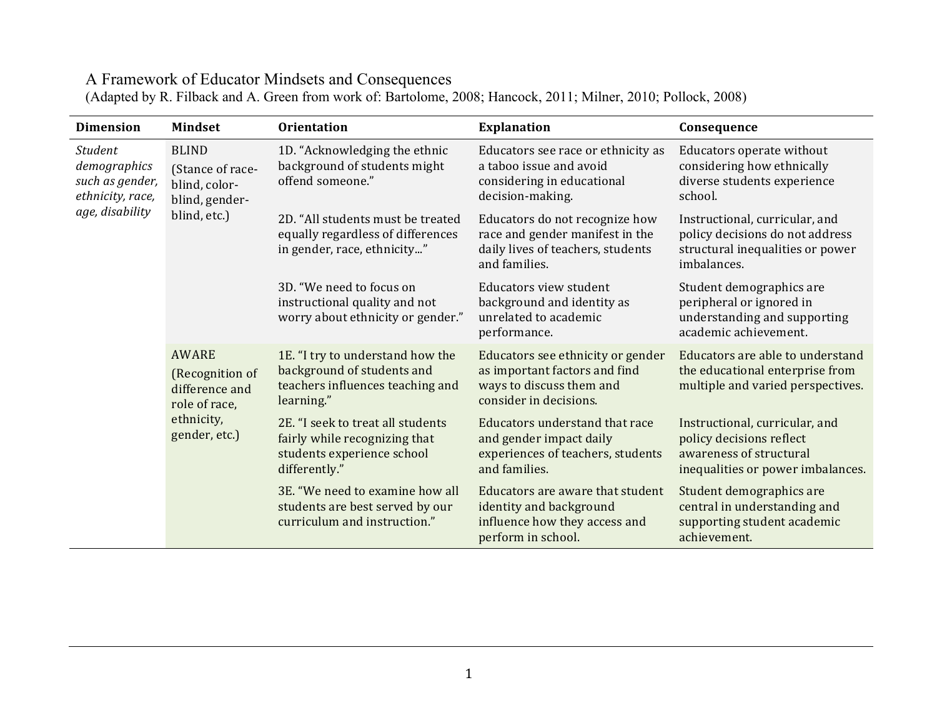## A Framework of Educator Mindsets and Consequences

(Adapted by R. Filback and A. Green from work of: Bartolome, 2008; Hancock, 2011; Milner, 2010; Pollock, 2008)

| <b>Dimension</b>                                                                         | <b>Mindset</b>                                                                                    | <b>Orientation</b>                                                                                                | <b>Explanation</b>                                                                                                       | Consequence                                                                                                                |
|------------------------------------------------------------------------------------------|---------------------------------------------------------------------------------------------------|-------------------------------------------------------------------------------------------------------------------|--------------------------------------------------------------------------------------------------------------------------|----------------------------------------------------------------------------------------------------------------------------|
| <b>Student</b><br>demographics<br>such as gender,<br>ethnicity, race,<br>age, disability | <b>BLIND</b><br>(Stance of race-<br>blind, color-<br>blind, gender-<br>blind, etc.)               | 1D. "Acknowledging the ethnic<br>background of students might<br>offend someone."                                 | Educators see race or ethnicity as<br>a taboo issue and avoid<br>considering in educational<br>decision-making.          | Educators operate without<br>considering how ethnically<br>diverse students experience<br>school.                          |
|                                                                                          |                                                                                                   | 2D. "All students must be treated<br>equally regardless of differences<br>in gender, race, ethnicity"             | Educators do not recognize how<br>race and gender manifest in the<br>daily lives of teachers, students<br>and families.  | Instructional, curricular, and<br>policy decisions do not address<br>structural inequalities or power<br>imbalances.       |
|                                                                                          |                                                                                                   | 3D. "We need to focus on<br>instructional quality and not<br>worry about ethnicity or gender."                    | <b>Educators view student</b><br>background and identity as<br>unrelated to academic<br>performance.                     | Student demographics are<br>peripheral or ignored in<br>understanding and supporting<br>academic achievement.              |
|                                                                                          | <b>AWARE</b><br>(Recognition of<br>difference and<br>role of race,<br>ethnicity,<br>gender, etc.) | 1E. "I try to understand how the<br>background of students and<br>teachers influences teaching and<br>learning."  | Educators see ethnicity or gender<br>as important factors and find<br>ways to discuss them and<br>consider in decisions. | Educators are able to understand<br>the educational enterprise from<br>multiple and varied perspectives.                   |
|                                                                                          |                                                                                                   | 2E. "I seek to treat all students<br>fairly while recognizing that<br>students experience school<br>differently." | Educators understand that race<br>and gender impact daily<br>experiences of teachers, students<br>and families.          | Instructional, curricular, and<br>policy decisions reflect<br>awareness of structural<br>inequalities or power imbalances. |
|                                                                                          |                                                                                                   | 3E. "We need to examine how all<br>students are best served by our<br>curriculum and instruction."                | Educators are aware that student<br>identity and background<br>influence how they access and<br>perform in school.       | Student demographics are<br>central in understanding and<br>supporting student academic<br>achievement.                    |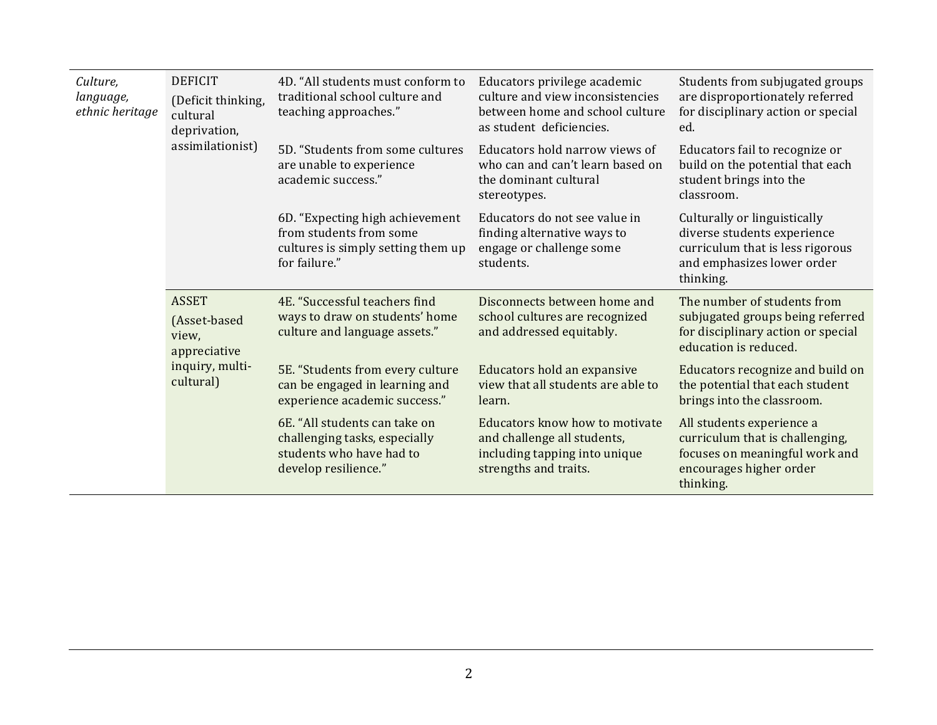| Culture,<br>language,<br>ethnic heritage | <b>DEFICIT</b><br>(Deficit thinking,<br>cultural<br>deprivation,<br>assimilationist)  | 4D. "All students must conform to<br>traditional school culture and<br>teaching approaches."                       | Educators privilege academic<br>culture and view inconsistencies<br>between home and school culture<br>as student deficiencies. | Students from subjugated groups<br>are disproportionately referred<br>for disciplinary action or special<br>ed.                            |
|------------------------------------------|---------------------------------------------------------------------------------------|--------------------------------------------------------------------------------------------------------------------|---------------------------------------------------------------------------------------------------------------------------------|--------------------------------------------------------------------------------------------------------------------------------------------|
|                                          |                                                                                       | 5D. "Students from some cultures<br>are unable to experience<br>academic success."                                 | Educators hold narrow views of<br>who can and can't learn based on<br>the dominant cultural<br>stereotypes.                     | Educators fail to recognize or<br>build on the potential that each<br>student brings into the<br>classroom.                                |
|                                          |                                                                                       | 6D. "Expecting high achievement<br>from students from some<br>cultures is simply setting them up<br>for failure."  | Educators do not see value in<br>finding alternative ways to<br>engage or challenge some<br>students.                           | Culturally or linguistically<br>diverse students experience<br>curriculum that is less rigorous<br>and emphasizes lower order<br>thinking. |
|                                          | <b>ASSET</b><br>(Asset-based<br>view,<br>appreciative<br>inquiry, multi-<br>cultural) | 4E. "Successful teachers find<br>ways to draw on students' home<br>culture and language assets."                   | Disconnects between home and<br>school cultures are recognized<br>and addressed equitably.                                      | The number of students from<br>subjugated groups being referred<br>for disciplinary action or special<br>education is reduced.             |
|                                          |                                                                                       | 5E. "Students from every culture<br>can be engaged in learning and<br>experience academic success."                | Educators hold an expansive<br>view that all students are able to<br>learn.                                                     | Educators recognize and build on<br>the potential that each student<br>brings into the classroom.                                          |
|                                          |                                                                                       | 6E. "All students can take on<br>challenging tasks, especially<br>students who have had to<br>develop resilience." | Educators know how to motivate<br>and challenge all students,<br>including tapping into unique<br>strengths and traits.         | All students experience a<br>curriculum that is challenging,<br>focuses on meaningful work and<br>encourages higher order<br>thinking.     |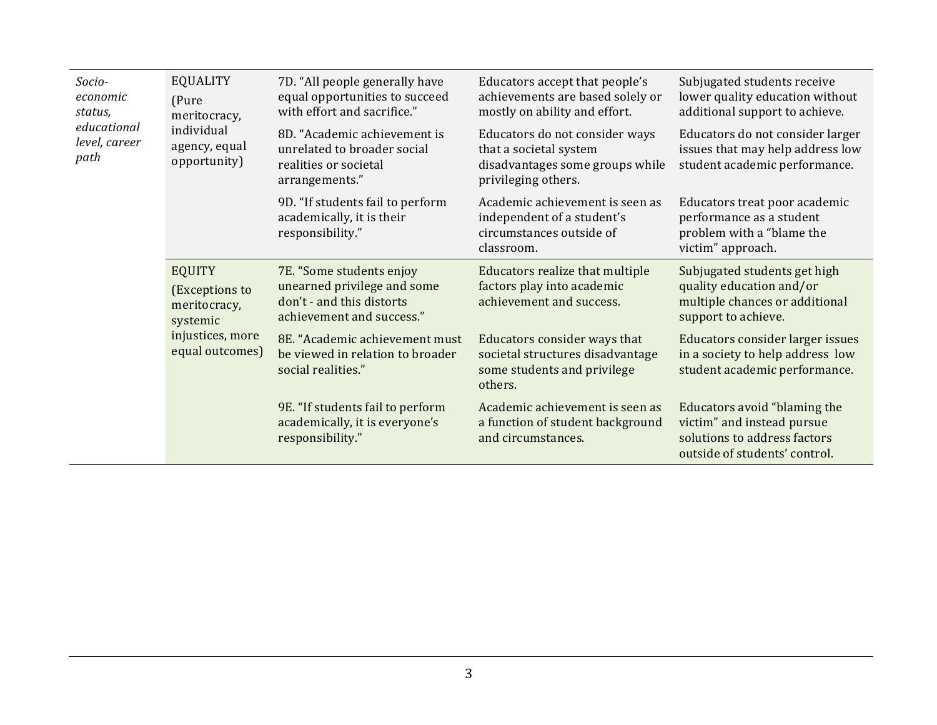| Socio-<br>economic<br>status,<br>educational<br>level, career<br>path | <b>EQUALITY</b><br>(Pure<br>meritocracy,<br>individual<br>agency, equal<br>opportunity)            | 7D. "All people generally have<br>equal opportunities to succeed<br>with effort and sacrifice."                   | Educators accept that people's<br>achievements are based solely or<br>mostly on ability and effort.                | Subjugated students receive<br>lower quality education without<br>additional support to achieve.                            |
|-----------------------------------------------------------------------|----------------------------------------------------------------------------------------------------|-------------------------------------------------------------------------------------------------------------------|--------------------------------------------------------------------------------------------------------------------|-----------------------------------------------------------------------------------------------------------------------------|
|                                                                       |                                                                                                    | 8D. "Academic achievement is<br>unrelated to broader social<br>realities or societal<br>arrangements."            | Educators do not consider ways<br>that a societal system<br>disadvantages some groups while<br>privileging others. | Educators do not consider larger<br>issues that may help address low<br>student academic performance.                       |
|                                                                       |                                                                                                    | 9D. "If students fail to perform<br>academically, it is their<br>responsibility."                                 | Academic achievement is seen as<br>independent of a student's<br>circumstances outside of<br>classroom.            | Educators treat poor academic<br>performance as a student<br>problem with a "blame the<br>victim" approach.                 |
|                                                                       | <b>EQUITY</b><br>(Exceptions to<br>meritocracy,<br>systemic<br>injustices, more<br>equal outcomes) | 7E. "Some students enjoy<br>unearned privilege and some<br>don't - and this distorts<br>achievement and success." | Educators realize that multiple<br>factors play into academic<br>achievement and success.                          | Subjugated students get high<br>quality education and/or<br>multiple chances or additional<br>support to achieve.           |
|                                                                       |                                                                                                    | 8E. "Academic achievement must<br>be viewed in relation to broader<br>social realities."                          | Educators consider ways that<br>societal structures disadvantage<br>some students and privilege<br>others.         | Educators consider larger issues<br>in a society to help address low<br>student academic performance.                       |
|                                                                       |                                                                                                    | 9E. "If students fail to perform<br>academically, it is everyone's<br>responsibility."                            | Academic achievement is seen as<br>a function of student background<br>and circumstances.                          | Educators avoid "blaming the<br>victim" and instead pursue<br>solutions to address factors<br>outside of students' control. |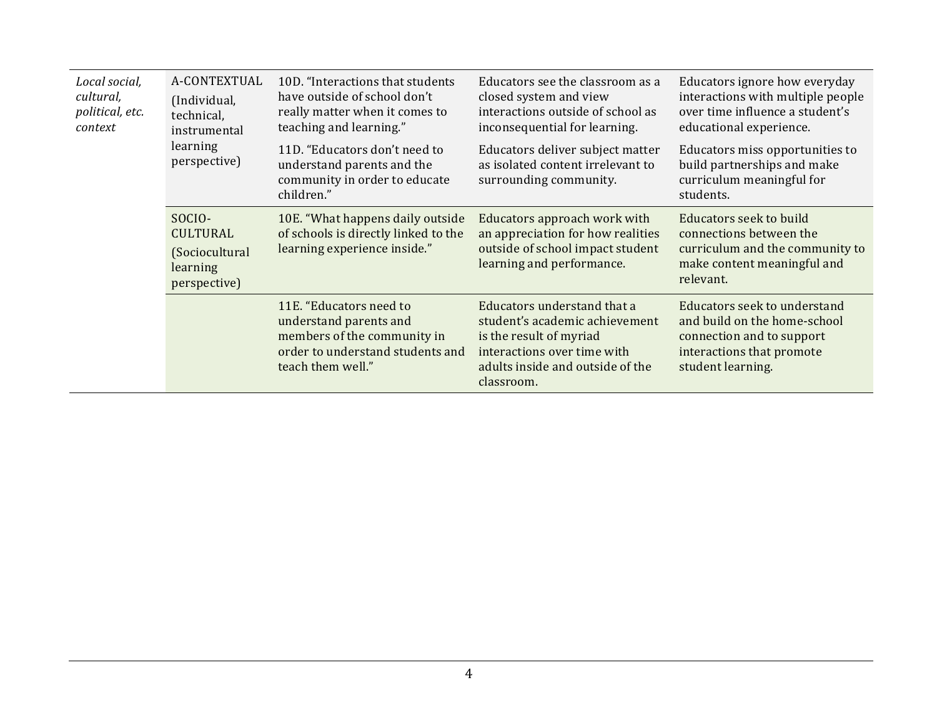| Local social,<br>cultural,<br>political, etc.<br>context | A-CONTEXTUAL<br>(Individual,<br>technical,<br>instrumental<br>learning<br>perspective) | 10D. "Interactions that students<br>have outside of school don't<br>really matter when it comes to<br>teaching and learning."             | Educators see the classroom as a<br>closed system and view<br>interactions outside of school as<br>inconsequential for learning.                                          | Educators ignore how everyday<br>interactions with multiple people<br>over time influence a student's<br>educational experience.            |
|----------------------------------------------------------|----------------------------------------------------------------------------------------|-------------------------------------------------------------------------------------------------------------------------------------------|---------------------------------------------------------------------------------------------------------------------------------------------------------------------------|---------------------------------------------------------------------------------------------------------------------------------------------|
|                                                          |                                                                                        | 11D. "Educators don't need to<br>understand parents and the<br>community in order to educate<br>children."                                | Educators deliver subject matter<br>as isolated content irrelevant to<br>surrounding community.                                                                           | Educators miss opportunities to<br>build partnerships and make<br>curriculum meaningful for<br>students.                                    |
|                                                          | SOCIO-<br><b>CULTURAL</b><br>(Sociocultural<br>learning<br>perspective)                | 10E. "What happens daily outside"<br>of schools is directly linked to the<br>learning experience inside."                                 | Educators approach work with<br>an appreciation for how realities<br>outside of school impact student<br>learning and performance.                                        | Educators seek to build<br>connections between the<br>curriculum and the community to<br>make content meaningful and<br>relevant.           |
|                                                          |                                                                                        | 11E. "Educators need to<br>understand parents and<br>members of the community in<br>order to understand students and<br>teach them well." | Educators understand that a<br>student's academic achievement<br>is the result of myriad<br>interactions over time with<br>adults inside and outside of the<br>classroom. | Educators seek to understand<br>and build on the home-school<br>connection and to support<br>interactions that promote<br>student learning. |